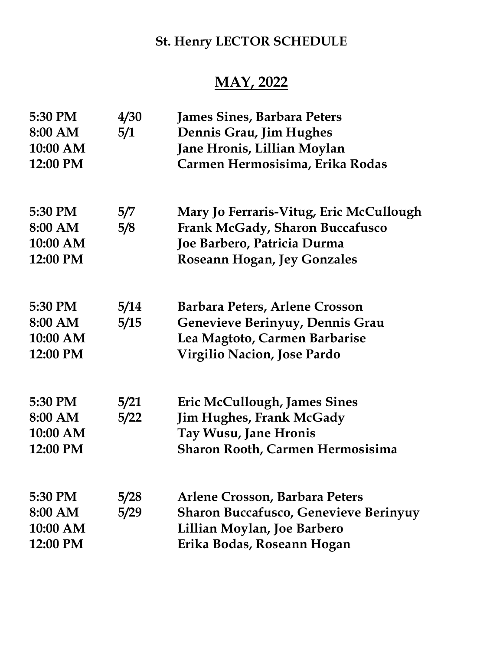## St. Henry LECTOR SCHEDULE

## MAY, 2022

| 5:30 PM  | 4/30 | <b>James Sines, Barbara Peters</b>           |
|----------|------|----------------------------------------------|
| 8:00 AM  | 5/1  | Dennis Grau, Jim Hughes                      |
| 10:00 AM |      | Jane Hronis, Lillian Moylan                  |
| 12:00 PM |      | Carmen Hermosisima, Erika Rodas              |
| 5:30 PM  | 5/7  | Mary Jo Ferraris-Vitug, Eric McCullough      |
| 8:00 AM  | 5/8  | <b>Frank McGady, Sharon Buccafusco</b>       |
| 10:00 AM |      | Joe Barbero, Patricia Durma                  |
| 12:00 PM |      | Roseann Hogan, Jey Gonzales                  |
| 5:30 PM  | 5/14 | Barbara Peters, Arlene Crosson               |
| 8:00 AM  | 5/15 | Genevieve Berinyuy, Dennis Grau              |
| 10:00 AM |      | Lea Magtoto, Carmen Barbarise                |
| 12:00 PM |      | <b>Virgilio Nacion, Jose Pardo</b>           |
| 5:30 PM  | 5/21 | Eric McCullough, James Sines                 |
| 8:00 AM  | 5/22 | <b>Jim Hughes, Frank McGady</b>              |
| 10:00 AM |      | <b>Tay Wusu, Jane Hronis</b>                 |
| 12:00 PM |      | <b>Sharon Rooth, Carmen Hermosisima</b>      |
| 5:30 PM  | 5/28 | Arlene Crosson, Barbara Peters               |
| 8:00 AM  | 5/29 | <b>Sharon Buccafusco, Genevieve Berinyuy</b> |
| 10:00 AM |      | Lillian Moylan, Joe Barbero                  |
| 12:00 PM |      | Erika Bodas, Roseann Hogan                   |